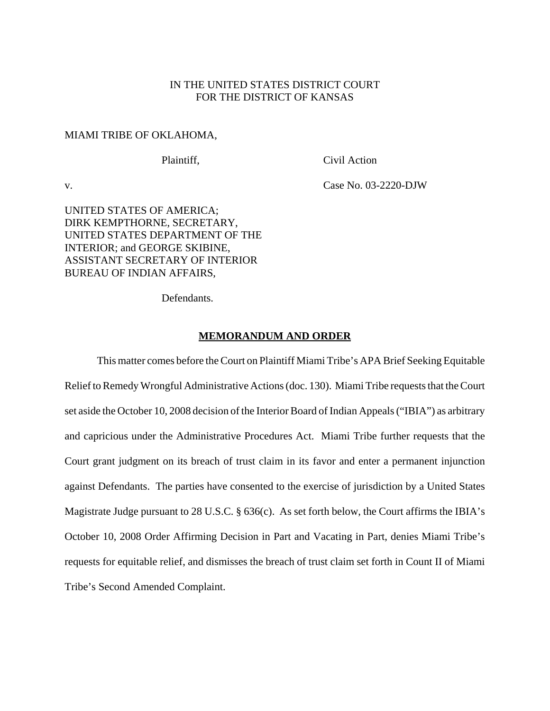# IN THE UNITED STATES DISTRICT COURT FOR THE DISTRICT OF KANSAS

#### MIAMI TRIBE OF OKLAHOMA,

Plaintiff, Civil Action

v. Case No. 03-2220-DJW

UNITED STATES OF AMERICA; DIRK KEMPTHORNE, SECRETARY, UNITED STATES DEPARTMENT OF THE INTERIOR; and GEORGE SKIBINE, ASSISTANT SECRETARY OF INTERIOR BUREAU OF INDIAN AFFAIRS,

Defendants.

#### **MEMORANDUM AND ORDER**

This matter comes before the Court on Plaintiff Miami Tribe's APA Brief Seeking Equitable Relief to Remedy Wrongful Administrative Actions (doc. 130). Miami Tribe requests that the Court set aside the October 10, 2008 decision of the Interior Board of Indian Appeals ("IBIA") as arbitrary and capricious under the Administrative Procedures Act. Miami Tribe further requests that the Court grant judgment on its breach of trust claim in its favor and enter a permanent injunction against Defendants. The parties have consented to the exercise of jurisdiction by a United States Magistrate Judge pursuant to 28 U.S.C. § 636(c). As set forth below, the Court affirms the IBIA's October 10, 2008 Order Affirming Decision in Part and Vacating in Part, denies Miami Tribe's requests for equitable relief, and dismisses the breach of trust claim set forth in Count II of Miami Tribe's Second Amended Complaint.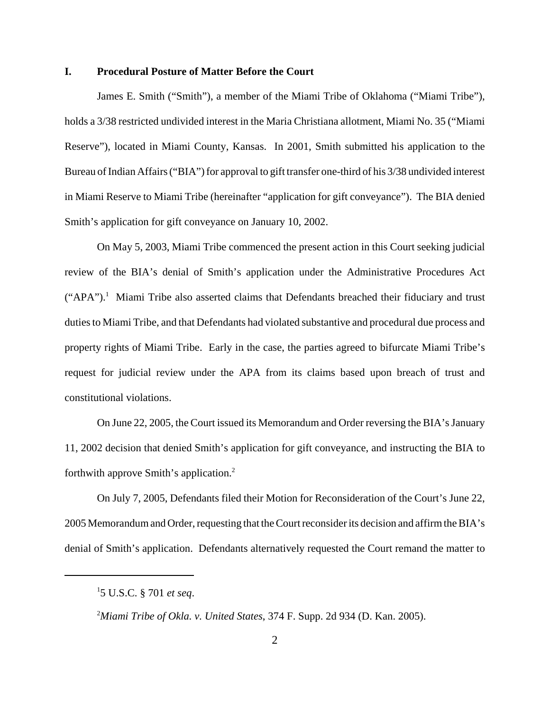### **I. Procedural Posture of Matter Before the Court**

James E. Smith ("Smith"), a member of the Miami Tribe of Oklahoma ("Miami Tribe"), holds a 3/38 restricted undivided interest in the Maria Christiana allotment, Miami No. 35 ("Miami Reserve"), located in Miami County, Kansas. In 2001, Smith submitted his application to the Bureau of Indian Affairs ("BIA") for approval to gift transfer one-third of his 3/38 undivided interest in Miami Reserve to Miami Tribe (hereinafter "application for gift conveyance"). The BIA denied Smith's application for gift conveyance on January 10, 2002.

On May 5, 2003, Miami Tribe commenced the present action in this Court seeking judicial review of the BIA's denial of Smith's application under the Administrative Procedures Act ("APA").<sup>1</sup> Miami Tribe also asserted claims that Defendants breached their fiduciary and trust duties to Miami Tribe, and that Defendants had violated substantive and procedural due process and property rights of Miami Tribe. Early in the case, the parties agreed to bifurcate Miami Tribe's request for judicial review under the APA from its claims based upon breach of trust and constitutional violations.

On June 22, 2005, the Court issued its Memorandum and Order reversing the BIA's January 11, 2002 decision that denied Smith's application for gift conveyance, and instructing the BIA to forthwith approve Smith's application.2

On July 7, 2005, Defendants filed their Motion for Reconsideration of the Court's June 22, 2005 Memorandum and Order, requesting that the Court reconsider its decision and affirm the BIA's denial of Smith's application. Defendants alternatively requested the Court remand the matter to

2 *Miami Tribe of Okla. v. United States*, 374 F. Supp. 2d 934 (D. Kan. 2005).

<sup>1</sup> 5 U.S.C. § 701 *et seq*.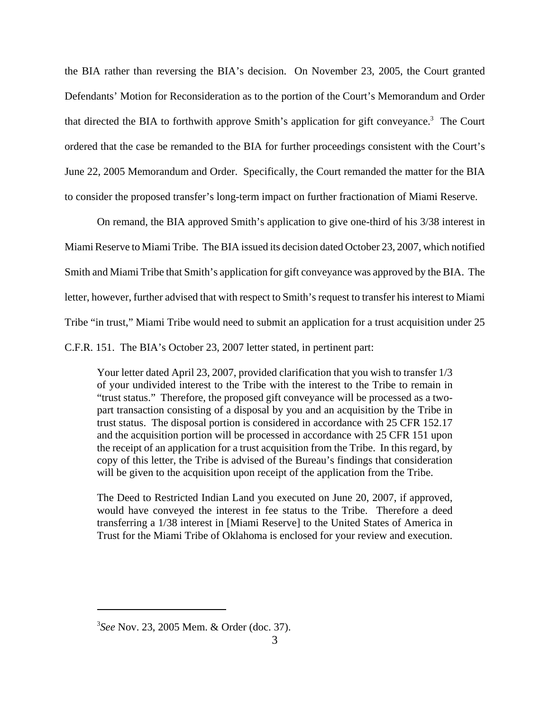the BIA rather than reversing the BIA's decision. On November 23, 2005, the Court granted Defendants' Motion for Reconsideration as to the portion of the Court's Memorandum and Order that directed the BIA to forthwith approve Smith's application for gift conveyance.<sup>3</sup> The Court ordered that the case be remanded to the BIA for further proceedings consistent with the Court's June 22, 2005 Memorandum and Order. Specifically, the Court remanded the matter for the BIA to consider the proposed transfer's long-term impact on further fractionation of Miami Reserve.

On remand, the BIA approved Smith's application to give one-third of his 3/38 interest in Miami Reserve to Miami Tribe. The BIA issued its decision dated October 23, 2007, which notified Smith and Miami Tribe that Smith's application for gift conveyance was approved by the BIA. The letter, however, further advised that with respect to Smith's request to transfer his interest to Miami Tribe "in trust," Miami Tribe would need to submit an application for a trust acquisition under 25 C.F.R. 151. The BIA's October 23, 2007 letter stated, in pertinent part:

Your letter dated April 23, 2007, provided clarification that you wish to transfer 1/3 of your undivided interest to the Tribe with the interest to the Tribe to remain in "trust status." Therefore, the proposed gift conveyance will be processed as a twopart transaction consisting of a disposal by you and an acquisition by the Tribe in trust status. The disposal portion is considered in accordance with 25 CFR 152.17 and the acquisition portion will be processed in accordance with 25 CFR 151 upon the receipt of an application for a trust acquisition from the Tribe. In this regard, by copy of this letter, the Tribe is advised of the Bureau's findings that consideration will be given to the acquisition upon receipt of the application from the Tribe.

The Deed to Restricted Indian Land you executed on June 20, 2007, if approved, would have conveyed the interest in fee status to the Tribe. Therefore a deed transferring a 1/38 interest in [Miami Reserve] to the United States of America in Trust for the Miami Tribe of Oklahoma is enclosed for your review and execution.

<sup>3</sup> *See* Nov. 23, 2005 Mem. & Order (doc. 37).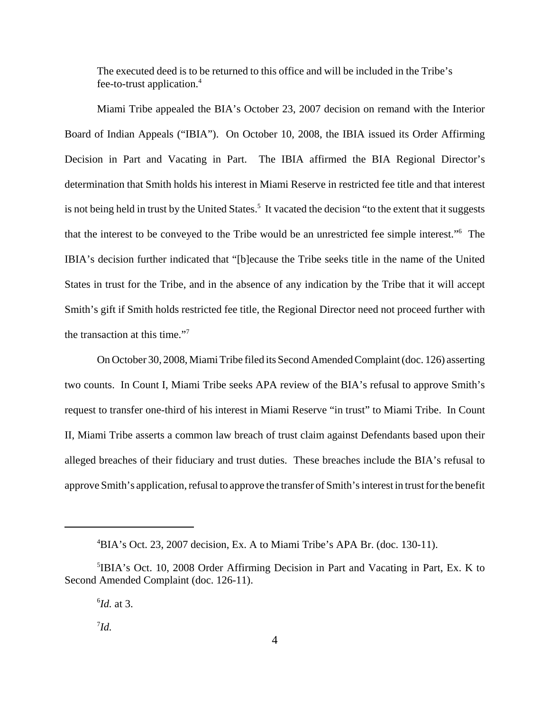The executed deed is to be returned to this office and will be included in the Tribe's fee-to-trust application.4

Miami Tribe appealed the BIA's October 23, 2007 decision on remand with the Interior Board of Indian Appeals ("IBIA"). On October 10, 2008, the IBIA issued its Order Affirming Decision in Part and Vacating in Part. The IBIA affirmed the BIA Regional Director's determination that Smith holds his interest in Miami Reserve in restricted fee title and that interest is not being held in trust by the United States.<sup>5</sup> It vacated the decision "to the extent that it suggests that the interest to be conveyed to the Tribe would be an unrestricted fee simple interest."6 The IBIA's decision further indicated that "[b]ecause the Tribe seeks title in the name of the United States in trust for the Tribe, and in the absence of any indication by the Tribe that it will accept Smith's gift if Smith holds restricted fee title, the Regional Director need not proceed further with the transaction at this time."<sup>7</sup>

On October 30, 2008, Miami Tribe filed its Second Amended Complaint (doc. 126) asserting two counts. In Count I, Miami Tribe seeks APA review of the BIA's refusal to approve Smith's request to transfer one-third of his interest in Miami Reserve "in trust" to Miami Tribe. In Count II, Miami Tribe asserts a common law breach of trust claim against Defendants based upon their alleged breaches of their fiduciary and trust duties. These breaches include the BIA's refusal to approve Smith's application, refusal to approve the transfer of Smith's interest in trust for the benefit

<sup>4</sup> BIA's Oct. 23, 2007 decision, Ex. A to Miami Tribe's APA Br. (doc. 130-11).

<sup>&</sup>lt;sup>5</sup>IBIA's Oct. 10, 2008 Order Affirming Decision in Part and Vacating in Part, Ex. K to Second Amended Complaint (doc. 126-11).

<sup>6</sup> *Id.* at 3.

<sup>7</sup> *Id.*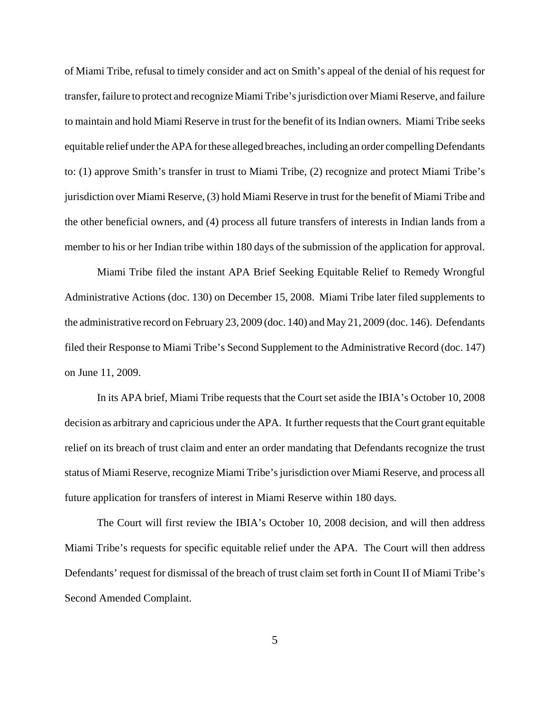of Miami Tribe, refusal to timely consider and act on Smith's appeal of the denial of his request for transfer, failure to protect and recognize Miami Tribe's jurisdiction over Miami Reserve, and failure to maintain and hold Miami Reserve in trust for the benefit of its Indian owners. Miami Tribe seeks equitable relief under the APA for these alleged breaches, including an order compelling Defendants to: (1) approve Smith's transfer in trust to Miami Tribe, (2) recognize and protect Miami Tribe's jurisdiction over Miami Reserve, (3) hold Miami Reserve in trust for the benefit of Miami Tribe and the other beneficial owners, and (4) process all future transfers of interests in Indian lands from a member to his or her Indian tribe within 180 days of the submission of the application for approval.

Miami Tribe filed the instant APA Brief Seeking Equitable Relief to Remedy Wrongful Administrative Actions (doc. 130) on December 15, 2008. Miami Tribe later filed supplements to the administrative record on February 23, 2009 (doc. 140) and May 21, 2009 (doc. 146). Defendants filed their Response to Miami Tribe's Second Supplement to the Administrative Record (doc. 147) on June 11, 2009.

In its APA brief, Miami Tribe requests that the Court set aside the IBIA's October 10, 2008 decision as arbitrary and capricious under the APA. It further requests that the Court grant equitable relief on its breach of trust claim and enter an order mandating that Defendants recognize the trust status of Miami Reserve, recognize Miami Tribe's jurisdiction over Miami Reserve, and process all future application for transfers of interest in Miami Reserve within 180 days.

The Court will first review the IBIA's October 10, 2008 decision, and will then address Miami Tribe's requests for specific equitable relief under the APA. The Court will then address Defendants' request for dismissal of the breach of trust claim set forth in Count II of Miami Tribe's Second Amended Complaint.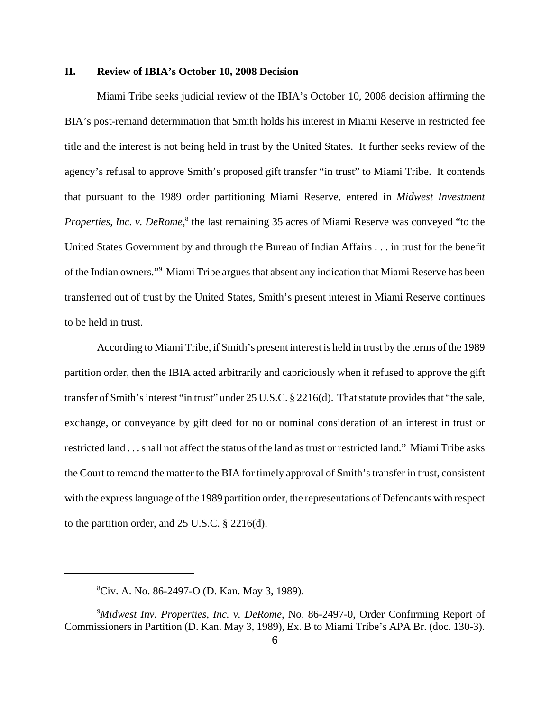### **II. Review of IBIA's October 10, 2008 Decision**

Miami Tribe seeks judicial review of the IBIA's October 10, 2008 decision affirming the BIA's post-remand determination that Smith holds his interest in Miami Reserve in restricted fee title and the interest is not being held in trust by the United States. It further seeks review of the agency's refusal to approve Smith's proposed gift transfer "in trust" to Miami Tribe. It contends that pursuant to the 1989 order partitioning Miami Reserve, entered in *Midwest Investment* Properties, Inc. v. DeRome,<sup>8</sup> the last remaining 35 acres of Miami Reserve was conveyed "to the United States Government by and through the Bureau of Indian Affairs . . . in trust for the benefit of the Indian owners."<sup>9</sup> Miami Tribe argues that absent any indication that Miami Reserve has been transferred out of trust by the United States, Smith's present interest in Miami Reserve continues to be held in trust.

According to Miami Tribe, if Smith's present interest is held in trust by the terms of the 1989 partition order, then the IBIA acted arbitrarily and capriciously when it refused to approve the gift transfer of Smith's interest "in trust" under 25 U.S.C. § 2216(d). That statute provides that "the sale, exchange, or conveyance by gift deed for no or nominal consideration of an interest in trust or restricted land . . . shall not affect the status of the land as trust or restricted land." Miami Tribe asks the Court to remand the matter to the BIA for timely approval of Smith's transfer in trust, consistent with the express language of the 1989 partition order, the representations of Defendants with respect to the partition order, and 25 U.S.C. § 2216(d).

<sup>8</sup> Civ. A. No. 86-2497-O (D. Kan. May 3, 1989).

<sup>9</sup> *Midwest Inv. Properties, Inc. v. DeRome*, No. 86-2497-0, Order Confirming Report of Commissioners in Partition (D. Kan. May 3, 1989), Ex. B to Miami Tribe's APA Br. (doc. 130-3).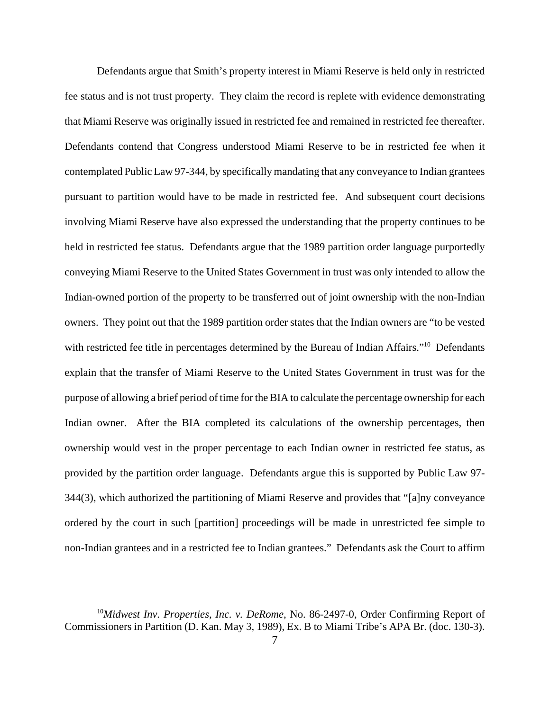Defendants argue that Smith's property interest in Miami Reserve is held only in restricted fee status and is not trust property. They claim the record is replete with evidence demonstrating that Miami Reserve was originally issued in restricted fee and remained in restricted fee thereafter. Defendants contend that Congress understood Miami Reserve to be in restricted fee when it contemplated Public Law 97-344, by specifically mandating that any conveyance to Indian grantees pursuant to partition would have to be made in restricted fee. And subsequent court decisions involving Miami Reserve have also expressed the understanding that the property continues to be held in restricted fee status. Defendants argue that the 1989 partition order language purportedly conveying Miami Reserve to the United States Government in trust was only intended to allow the Indian-owned portion of the property to be transferred out of joint ownership with the non-Indian owners. They point out that the 1989 partition order states that the Indian owners are "to be vested with restricted fee title in percentages determined by the Bureau of Indian Affairs."<sup>10</sup> Defendants explain that the transfer of Miami Reserve to the United States Government in trust was for the purpose of allowing a brief period of time for the BIA to calculate the percentage ownership for each Indian owner. After the BIA completed its calculations of the ownership percentages, then ownership would vest in the proper percentage to each Indian owner in restricted fee status, as provided by the partition order language. Defendants argue this is supported by Public Law 97- 344(3), which authorized the partitioning of Miami Reserve and provides that "[a]ny conveyance ordered by the court in such [partition] proceedings will be made in unrestricted fee simple to non-Indian grantees and in a restricted fee to Indian grantees." Defendants ask the Court to affirm

<sup>10</sup>*Midwest Inv. Properties, Inc. v. DeRome*, No. 86-2497-0, Order Confirming Report of Commissioners in Partition (D. Kan. May 3, 1989), Ex. B to Miami Tribe's APA Br. (doc. 130-3).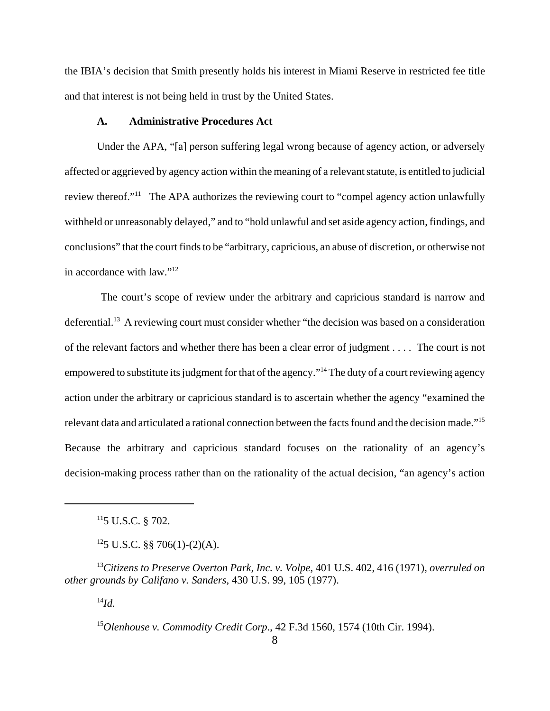the IBIA's decision that Smith presently holds his interest in Miami Reserve in restricted fee title and that interest is not being held in trust by the United States.

#### **A. Administrative Procedures Act**

Under the APA, "[a] person suffering legal wrong because of agency action, or adversely affected or aggrieved by agency action within the meaning of a relevant statute, is entitled to judicial review thereof."<sup>11</sup> The APA authorizes the reviewing court to "compel agency action unlawfully withheld or unreasonably delayed," and to "hold unlawful and set aside agency action, findings, and conclusions" that the court finds to be "arbitrary, capricious, an abuse of discretion, or otherwise not in accordance with law."12

 The court's scope of review under the arbitrary and capricious standard is narrow and deferential.<sup>13</sup> A reviewing court must consider whether "the decision was based on a consideration of the relevant factors and whether there has been a clear error of judgment . . . . The court is not empowered to substitute its judgment for that of the agency."14 The duty of a court reviewing agency action under the arbitrary or capricious standard is to ascertain whether the agency "examined the relevant data and articulated a rational connection between the facts found and the decision made."15 Because the arbitrary and capricious standard focuses on the rationality of an agency's decision-making process rather than on the rationality of the actual decision, "an agency's action

<sup>14</sup>*Id.*

<sup>15</sup>*Olenhouse v. Commodity Credit Corp*., 42 F.3d 1560, 1574 (10th Cir. 1994).

 $115$  U.S.C. § 702.

 $125$  U.S.C. §§ 706(1)-(2)(A).

<sup>13</sup>*Citizens to Preserve Overton Park, Inc. v. Volpe*, 401 U.S. 402, 416 (1971), *overruled on other grounds by Califano v. Sanders*, 430 U.S. 99, 105 (1977).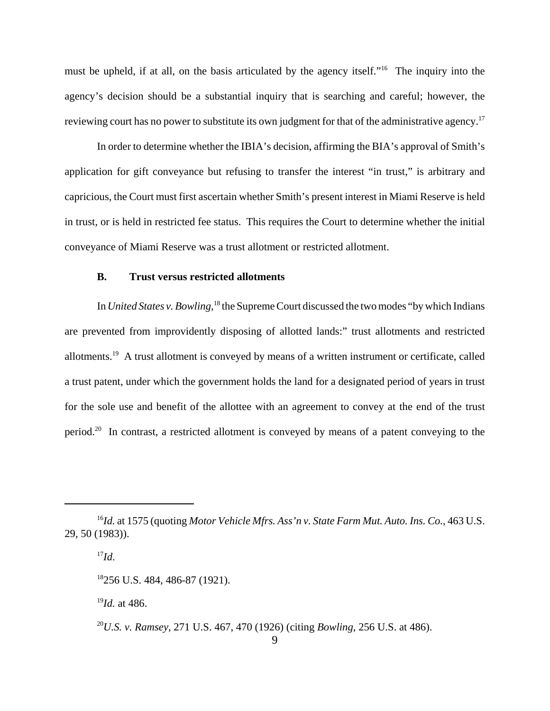must be upheld, if at all, on the basis articulated by the agency itself."16 The inquiry into the agency's decision should be a substantial inquiry that is searching and careful; however, the reviewing court has no power to substitute its own judgment for that of the administrative agency.<sup>17</sup>

In order to determine whether the IBIA's decision, affirming the BIA's approval of Smith's application for gift conveyance but refusing to transfer the interest "in trust," is arbitrary and capricious, the Court must first ascertain whether Smith's present interest in Miami Reserve is held in trust, or is held in restricted fee status. This requires the Court to determine whether the initial conveyance of Miami Reserve was a trust allotment or restricted allotment.

### **B. Trust versus restricted allotments**

In *United States v. Bowling*,<sup>18</sup> the Supreme Court discussed the two modes "by which Indians are prevented from improvidently disposing of allotted lands:" trust allotments and restricted allotments.19 A trust allotment is conveyed by means of a written instrument or certificate, called a trust patent, under which the government holds the land for a designated period of years in trust for the sole use and benefit of the allottee with an agreement to convey at the end of the trust period.20 In contrast, a restricted allotment is conveyed by means of a patent conveying to the

<sup>19</sup>*Id.* at 486.

<sup>16</sup>*Id.* at 1575 (quoting *Motor Vehicle Mfrs. Ass'n v. State Farm Mut. Auto. Ins. Co.*, 463 U.S. 29, 50 (1983)).

 $^{17}Id.$ 

<sup>18256</sup> U.S. 484, 486-87 (1921).

<sup>20</sup>*U.S. v. Ramsey*, 271 U.S. 467, 470 (1926) (citing *Bowling*, 256 U.S. at 486).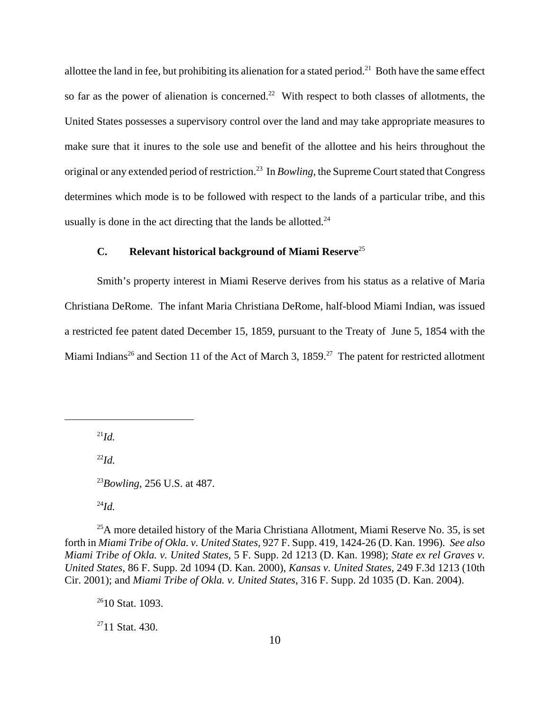allottee the land in fee, but prohibiting its alienation for a stated period.<sup>21</sup> Both have the same effect so far as the power of alienation is concerned.<sup>22</sup> With respect to both classes of allotments, the United States possesses a supervisory control over the land and may take appropriate measures to make sure that it inures to the sole use and benefit of the allottee and his heirs throughout the original or any extended period of restriction.23 In *Bowling,* the Supreme Court stated that Congress determines which mode is to be followed with respect to the lands of a particular tribe, and this usually is done in the act directing that the lands be allotted.<sup>24</sup>

# **C. Relevant historical background of Miami Reserve**<sup>25</sup>

Smith's property interest in Miami Reserve derives from his status as a relative of Maria Christiana DeRome. The infant Maria Christiana DeRome, half-blood Miami Indian, was issued a restricted fee patent dated December 15, 1859, pursuant to the Treaty of June 5, 1854 with the Miami Indians<sup>26</sup> and Section 11 of the Act of March 3,  $1859<sup>27</sup>$  The patent for restricted allotment

 $^{21}Id$ 

<sup>22</sup>*Id.*

<sup>24</sup>*Id.*

 $^{25}$ A more detailed history of the Maria Christiana Allotment, Miami Reserve No. 35, is set forth in *Miami Tribe of Okla. v. United States,* 927 F. Supp. 419, 1424-26 (D. Kan. 1996)*. See also Miami Tribe of Okla. v. United States*, 5 F. Supp. 2d 1213 (D. Kan. 1998); *State ex rel Graves v. United States*, 86 F. Supp. 2d 1094 (D. Kan. 2000), *Kansas v. United States*, 249 F.3d 1213 (10th Cir. 2001); and *Miami Tribe of Okla. v. United States*, 316 F. Supp. 2d 1035 (D. Kan. 2004).

<sup>26</sup>10 Stat. 1093.

 $2711$  Stat. 430.

<sup>23</sup>*Bowling*, 256 U.S. at 487.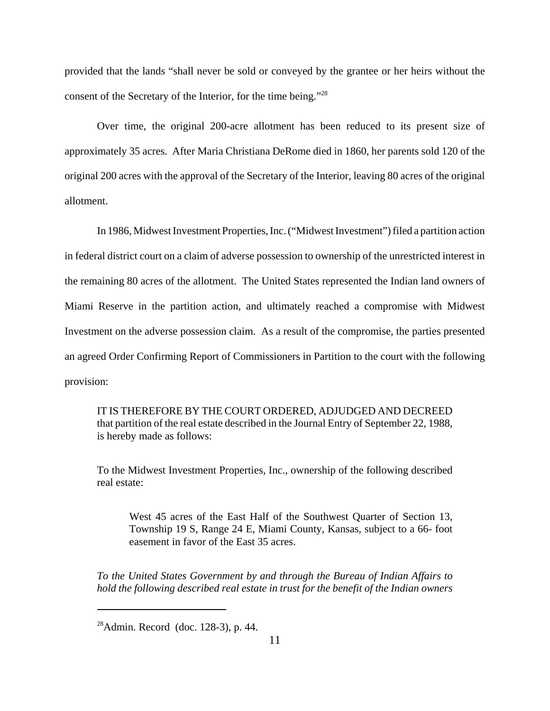provided that the lands "shall never be sold or conveyed by the grantee or her heirs without the consent of the Secretary of the Interior, for the time being."28

Over time, the original 200-acre allotment has been reduced to its present size of approximately 35 acres. After Maria Christiana DeRome died in 1860, her parents sold 120 of the original 200 acres with the approval of the Secretary of the Interior, leaving 80 acres of the original allotment.

In 1986, Midwest Investment Properties, Inc. ("Midwest Investment") filed a partition action in federal district court on a claim of adverse possession to ownership of the unrestricted interest in the remaining 80 acres of the allotment. The United States represented the Indian land owners of Miami Reserve in the partition action, and ultimately reached a compromise with Midwest Investment on the adverse possession claim. As a result of the compromise, the parties presented an agreed Order Confirming Report of Commissioners in Partition to the court with the following provision:

IT IS THEREFORE BY THE COURT ORDERED, ADJUDGED AND DECREED that partition of the real estate described in the Journal Entry of September 22, 1988, is hereby made as follows:

To the Midwest Investment Properties, Inc., ownership of the following described real estate:

West 45 acres of the East Half of the Southwest Quarter of Section 13, Township 19 S, Range 24 E, Miami County, Kansas, subject to a 66- foot easement in favor of the East 35 acres.

*To the United States Government by and through the Bureau of Indian Affairs to hold the following described real estate in trust for the benefit of the Indian owners*

 $^{28}$ Admin. Record (doc. 128-3), p. 44.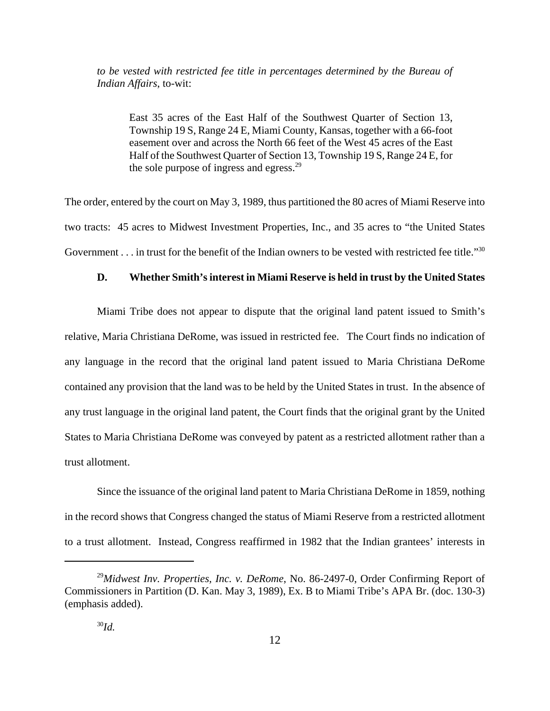*to be vested with restricted fee title in percentages determined by the Bureau of Indian Affairs*, to-wit:

East 35 acres of the East Half of the Southwest Quarter of Section 13, Township 19 S, Range 24 E, Miami County, Kansas, together with a 66-foot easement over and across the North 66 feet of the West 45 acres of the East Half of the Southwest Quarter of Section 13, Township 19 S, Range 24 E, for the sole purpose of ingress and egress.<sup>29</sup>

The order, entered by the court on May 3, 1989, thus partitioned the 80 acres of Miami Reserve into two tracts: 45 acres to Midwest Investment Properties, Inc., and 35 acres to "the United States Government . . . in trust for the benefit of the Indian owners to be vested with restricted fee title."<sup>30</sup>

#### **D. Whether Smith's interest in Miami Reserve is held in trust by the United States**

Miami Tribe does not appear to dispute that the original land patent issued to Smith's relative, Maria Christiana DeRome, was issued in restricted fee. The Court finds no indication of any language in the record that the original land patent issued to Maria Christiana DeRome contained any provision that the land was to be held by the United States in trust. In the absence of any trust language in the original land patent, the Court finds that the original grant by the United States to Maria Christiana DeRome was conveyed by patent as a restricted allotment rather than a trust allotment.

Since the issuance of the original land patent to Maria Christiana DeRome in 1859, nothing in the record shows that Congress changed the status of Miami Reserve from a restricted allotment to a trust allotment. Instead, Congress reaffirmed in 1982 that the Indian grantees' interests in

<sup>29</sup>*Midwest Inv. Properties, Inc. v. DeRome*, No. 86-2497-0, Order Confirming Report of Commissioners in Partition (D. Kan. May 3, 1989), Ex. B to Miami Tribe's APA Br. (doc. 130-3) (emphasis added).

<sup>30</sup>*Id.*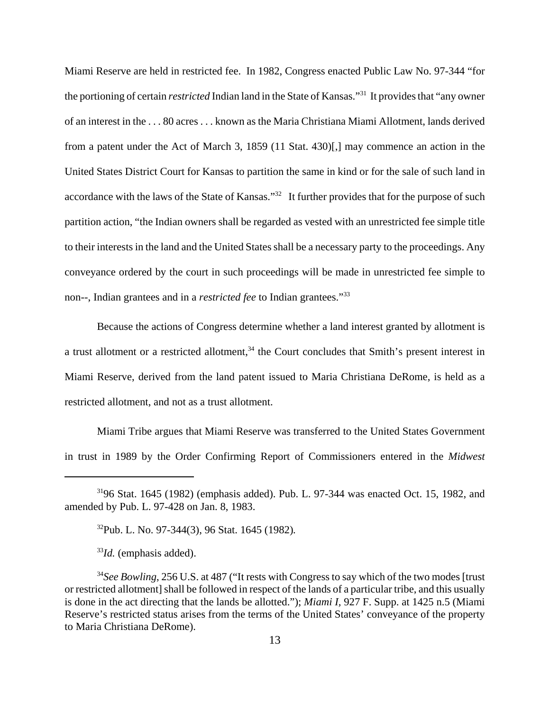Miami Reserve are held in restricted fee. In 1982, Congress enacted Public Law No. 97-344 "for the portioning of certain *restricted* Indian land in the State of Kansas."31 It provides that "any owner of an interest in the . . . 80 acres . . . known as the Maria Christiana Miami Allotment, lands derived from a patent under the Act of March 3, 1859 (11 Stat. 430)[,] may commence an action in the United States District Court for Kansas to partition the same in kind or for the sale of such land in accordance with the laws of the State of Kansas."<sup>32</sup> It further provides that for the purpose of such partition action, "the Indian owners shall be regarded as vested with an unrestricted fee simple title to their interests in the land and the United States shall be a necessary party to the proceedings. Any conveyance ordered by the court in such proceedings will be made in unrestricted fee simple to non--, Indian grantees and in a *restricted fee* to Indian grantees."33

Because the actions of Congress determine whether a land interest granted by allotment is a trust allotment or a restricted allotment,<sup>34</sup> the Court concludes that Smith's present interest in Miami Reserve, derived from the land patent issued to Maria Christiana DeRome, is held as a restricted allotment, and not as a trust allotment.

Miami Tribe argues that Miami Reserve was transferred to the United States Government in trust in 1989 by the Order Confirming Report of Commissioners entered in the *Midwest*

32Pub. L. No. 97-344(3), 96 Stat. 1645 (1982)*.*

<sup>33</sup>*Id.* (emphasis added).

 $3196$  Stat. 1645 (1982) (emphasis added). Pub. L. 97-344 was enacted Oct. 15, 1982, and amended by Pub. L. 97-428 on Jan. 8, 1983.

<sup>&</sup>lt;sup>34</sup>See Bowling, 256 U.S. at 487 ("It rests with Congress to say which of the two modes [trust or restricted allotment] shall be followed in respect of the lands of a particular tribe, and this usually is done in the act directing that the lands be allotted."); *Miami I,* 927 F. Supp. at 1425 n.5 (Miami Reserve's restricted status arises from the terms of the United States' conveyance of the property to Maria Christiana DeRome).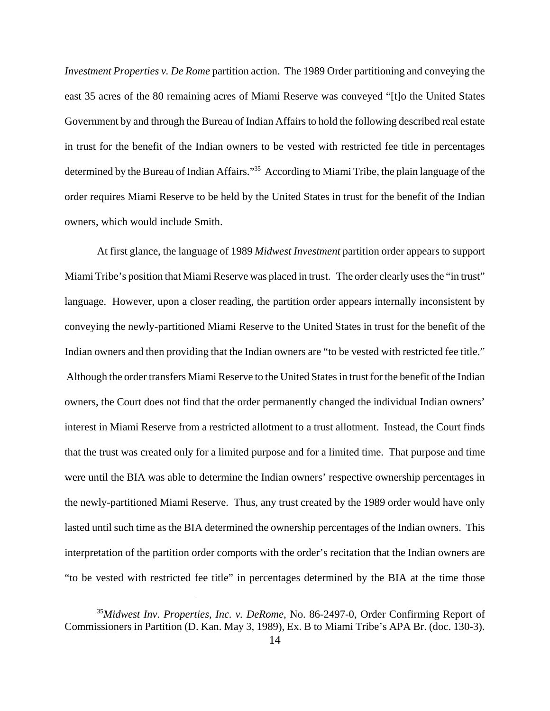*Investment Properties v. De Rome* partition action. The 1989 Order partitioning and conveying the east 35 acres of the 80 remaining acres of Miami Reserve was conveyed "[t]o the United States Government by and through the Bureau of Indian Affairs to hold the following described real estate in trust for the benefit of the Indian owners to be vested with restricted fee title in percentages determined by the Bureau of Indian Affairs."35 According to Miami Tribe, the plain language of the order requires Miami Reserve to be held by the United States in trust for the benefit of the Indian owners, which would include Smith.

At first glance, the language of 1989 *Midwest Investment* partition order appears to support Miami Tribe's position that Miami Reserve was placed in trust. The order clearly uses the "in trust" language. However, upon a closer reading, the partition order appears internally inconsistent by conveying the newly-partitioned Miami Reserve to the United States in trust for the benefit of the Indian owners and then providing that the Indian owners are "to be vested with restricted fee title." Although the order transfers Miami Reserve to the United States in trust for the benefit of the Indian owners, the Court does not find that the order permanently changed the individual Indian owners' interest in Miami Reserve from a restricted allotment to a trust allotment. Instead, the Court finds that the trust was created only for a limited purpose and for a limited time. That purpose and time were until the BIA was able to determine the Indian owners' respective ownership percentages in the newly-partitioned Miami Reserve. Thus, any trust created by the 1989 order would have only lasted until such time as the BIA determined the ownership percentages of the Indian owners. This interpretation of the partition order comports with the order's recitation that the Indian owners are "to be vested with restricted fee title" in percentages determined by the BIA at the time those

<sup>35</sup>*Midwest Inv. Properties, Inc. v. DeRome*, No. 86-2497-0, Order Confirming Report of Commissioners in Partition (D. Kan. May 3, 1989), Ex. B to Miami Tribe's APA Br. (doc. 130-3).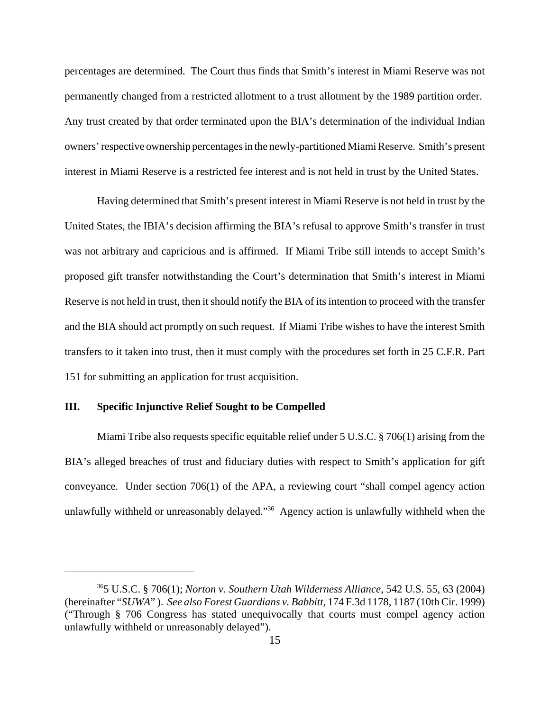percentages are determined. The Court thus finds that Smith's interest in Miami Reserve was not permanently changed from a restricted allotment to a trust allotment by the 1989 partition order. Any trust created by that order terminated upon the BIA's determination of the individual Indian owners' respective ownership percentages in the newly-partitioned Miami Reserve. Smith's present interest in Miami Reserve is a restricted fee interest and is not held in trust by the United States.

Having determined that Smith's present interest in Miami Reserve is not held in trust by the United States, the IBIA's decision affirming the BIA's refusal to approve Smith's transfer in trust was not arbitrary and capricious and is affirmed. If Miami Tribe still intends to accept Smith's proposed gift transfer notwithstanding the Court's determination that Smith's interest in Miami Reserve is not held in trust, then it should notify the BIA of its intention to proceed with the transfer and the BIA should act promptly on such request. If Miami Tribe wishes to have the interest Smith transfers to it taken into trust, then it must comply with the procedures set forth in 25 C.F.R. Part 151 for submitting an application for trust acquisition.

## **III. Specific Injunctive Relief Sought to be Compelled**

Miami Tribe also requests specific equitable relief under 5 U.S.C. § 706(1) arising from the BIA's alleged breaches of trust and fiduciary duties with respect to Smith's application for gift conveyance. Under section 706(1) of the APA, a reviewing court "shall compel agency action unlawfully withheld or unreasonably delayed."<sup>36</sup> Agency action is unlawfully withheld when the

<sup>365</sup> U.S.C. § 706(1); *Norton v. Southern Utah Wilderness Alliance*, 542 U.S. 55, 63 (2004) (hereinafter "*SUWA*" ). *See also Forest Guardians v. Babbitt*, 174 F.3d 1178, 1187 (10th Cir. 1999) ("Through § 706 Congress has stated unequivocally that courts must compel agency action unlawfully withheld or unreasonably delayed").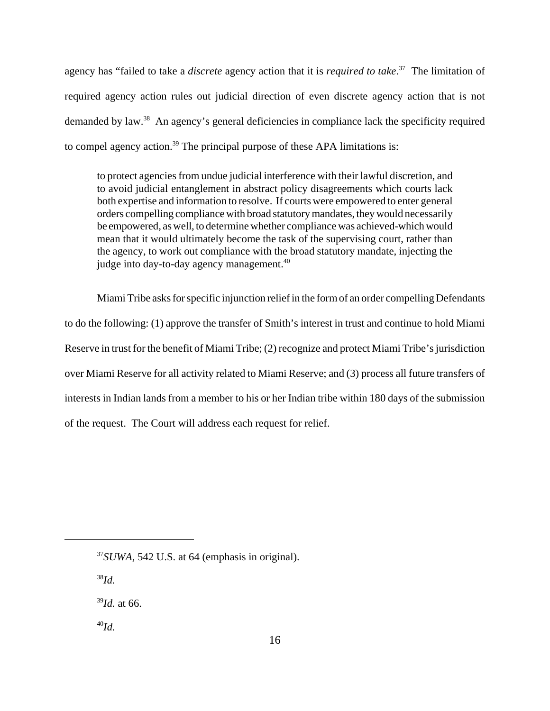agency has "failed to take a *discrete* agency action that it is *required to take*. 37 The limitation of required agency action rules out judicial direction of even discrete agency action that is not demanded by law.38 An agency's general deficiencies in compliance lack the specificity required to compel agency action.<sup>39</sup> The principal purpose of these APA limitations is:

to protect agencies from undue judicial interference with their lawful discretion, and to avoid judicial entanglement in abstract policy disagreements which courts lack both expertise and information to resolve. If courts were empowered to enter general orders compelling compliance with broad statutory mandates, they would necessarily be empowered, as well, to determine whether compliance was achieved-which would mean that it would ultimately become the task of the supervising court, rather than the agency, to work out compliance with the broad statutory mandate, injecting the judge into day-to-day agency management.<sup>40</sup>

Miami Tribe asks for specific injunction relief in the form of an order compelling Defendants to do the following: (1) approve the transfer of Smith's interest in trust and continue to hold Miami Reserve in trust for the benefit of Miami Tribe; (2) recognize and protect Miami Tribe's jurisdiction over Miami Reserve for all activity related to Miami Reserve; and (3) process all future transfers of interests in Indian lands from a member to his or her Indian tribe within 180 days of the submission of the request. The Court will address each request for relief.

<sup>37</sup>*SUWA*, 542 U.S. at 64 (emphasis in original).

<sup>38</sup>*Id.*

<sup>39</sup>*Id.* at 66.

<sup>40</sup>*Id.*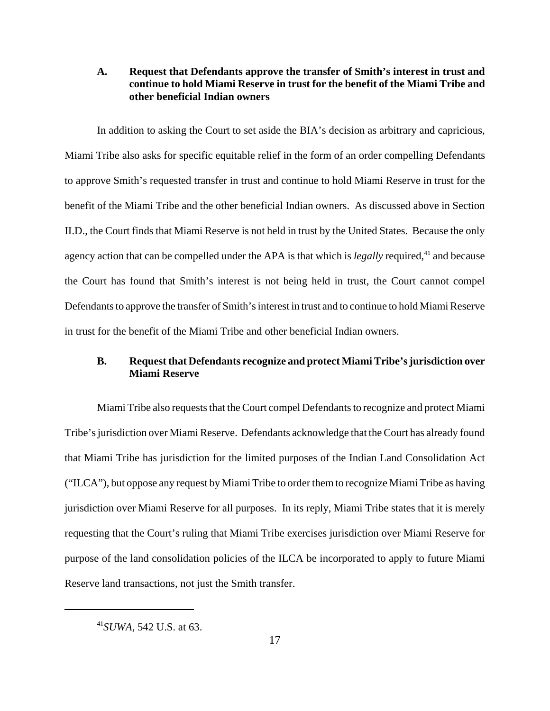# **A. Request that Defendants approve the transfer of Smith's interest in trust and continue to hold Miami Reserve in trust for the benefit of the Miami Tribe and other beneficial Indian owners**

In addition to asking the Court to set aside the BIA's decision as arbitrary and capricious, Miami Tribe also asks for specific equitable relief in the form of an order compelling Defendants to approve Smith's requested transfer in trust and continue to hold Miami Reserve in trust for the benefit of the Miami Tribe and the other beneficial Indian owners. As discussed above in Section II.D., the Court finds that Miami Reserve is not held in trust by the United States. Because the only agency action that can be compelled under the APA is that which is *legally* required,<sup>41</sup> and because the Court has found that Smith's interest is not being held in trust, the Court cannot compel Defendants to approve the transfer of Smith's interest in trust and to continue to hold Miami Reserve in trust for the benefit of the Miami Tribe and other beneficial Indian owners.

# **B. Request that Defendants recognize and protect Miami Tribe's jurisdiction over Miami Reserve**

Miami Tribe also requests that the Court compel Defendants to recognize and protect Miami Tribe's jurisdiction over Miami Reserve. Defendants acknowledge that the Court has already found that Miami Tribe has jurisdiction for the limited purposes of the Indian Land Consolidation Act ("ILCA"), but oppose any request by Miami Tribe to order them to recognize Miami Tribe as having jurisdiction over Miami Reserve for all purposes. In its reply, Miami Tribe states that it is merely requesting that the Court's ruling that Miami Tribe exercises jurisdiction over Miami Reserve for purpose of the land consolidation policies of the ILCA be incorporated to apply to future Miami Reserve land transactions, not just the Smith transfer.

<sup>41</sup>*SUWA*, 542 U.S. at 63.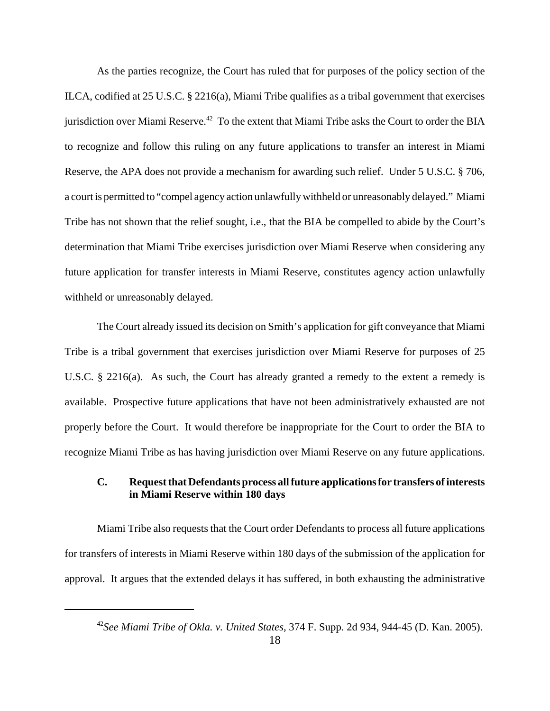As the parties recognize, the Court has ruled that for purposes of the policy section of the ILCA, codified at 25 U.S.C. § 2216(a), Miami Tribe qualifies as a tribal government that exercises jurisdiction over Miami Reserve.<sup>42</sup> To the extent that Miami Tribe asks the Court to order the BIA to recognize and follow this ruling on any future applications to transfer an interest in Miami Reserve, the APA does not provide a mechanism for awarding such relief. Under 5 U.S.C. § 706, a court is permitted to "compel agency action unlawfully withheld or unreasonably delayed." Miami Tribe has not shown that the relief sought, i.e., that the BIA be compelled to abide by the Court's determination that Miami Tribe exercises jurisdiction over Miami Reserve when considering any future application for transfer interests in Miami Reserve, constitutes agency action unlawfully withheld or unreasonably delayed.

The Court already issued its decision on Smith's application for gift conveyance that Miami Tribe is a tribal government that exercises jurisdiction over Miami Reserve for purposes of 25 U.S.C. § 2216(a). As such, the Court has already granted a remedy to the extent a remedy is available. Prospective future applications that have not been administratively exhausted are not properly before the Court. It would therefore be inappropriate for the Court to order the BIA to recognize Miami Tribe as has having jurisdiction over Miami Reserve on any future applications.

# **C. Request that Defendants process all future applications for transfers of interests in Miami Reserve within 180 days**

Miami Tribe also requests that the Court order Defendants to process all future applications for transfers of interests in Miami Reserve within 180 days of the submission of the application for approval. It argues that the extended delays it has suffered, in both exhausting the administrative

<sup>42</sup>*See Miami Tribe of Okla. v. United States*, 374 F. Supp. 2d 934, 944-45 (D. Kan. 2005).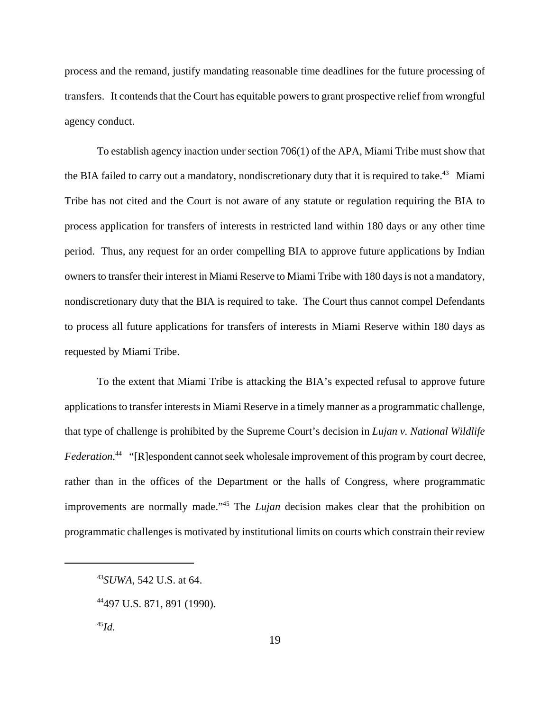process and the remand, justify mandating reasonable time deadlines for the future processing of transfers. It contends that the Court has equitable powers to grant prospective relief from wrongful agency conduct.

To establish agency inaction under section 706(1) of the APA, Miami Tribe must show that the BIA failed to carry out a mandatory, nondiscretionary duty that it is required to take.<sup>43</sup> Miami Tribe has not cited and the Court is not aware of any statute or regulation requiring the BIA to process application for transfers of interests in restricted land within 180 days or any other time period. Thus, any request for an order compelling BIA to approve future applications by Indian owners to transfer their interest in Miami Reserve to Miami Tribe with 180 days is not a mandatory, nondiscretionary duty that the BIA is required to take. The Court thus cannot compel Defendants to process all future applications for transfers of interests in Miami Reserve within 180 days as requested by Miami Tribe.

To the extent that Miami Tribe is attacking the BIA's expected refusal to approve future applications to transfer interests in Miami Reserve in a timely manner as a programmatic challenge, that type of challenge is prohibited by the Supreme Court's decision in *Lujan v. National Wildlife* Federation.<sup>44</sup> "[R]espondent cannot seek wholesale improvement of this program by court decree, rather than in the offices of the Department or the halls of Congress, where programmatic improvements are normally made."45 The *Lujan* decision makes clear that the prohibition on programmatic challenges is motivated by institutional limits on courts which constrain their review

<sup>43</sup>*SUWA*, 542 U.S. at 64.

<sup>44497</sup> U.S. 871, 891 (1990).

<sup>45</sup>*Id.*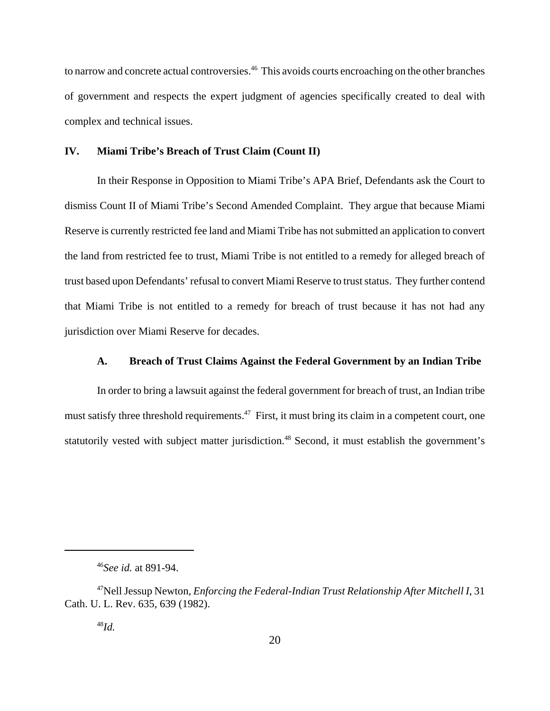to narrow and concrete actual controversies.<sup>46</sup> This avoids courts encroaching on the other branches of government and respects the expert judgment of agencies specifically created to deal with complex and technical issues.

#### **IV. Miami Tribe's Breach of Trust Claim (Count II)**

In their Response in Opposition to Miami Tribe's APA Brief, Defendants ask the Court to dismiss Count II of Miami Tribe's Second Amended Complaint. They argue that because Miami Reserve is currently restricted fee land and Miami Tribe has not submitted an application to convert the land from restricted fee to trust, Miami Tribe is not entitled to a remedy for alleged breach of trust based upon Defendants' refusal to convert Miami Reserve to trust status. They further contend that Miami Tribe is not entitled to a remedy for breach of trust because it has not had any jurisdiction over Miami Reserve for decades.

## **A. Breach of Trust Claims Against the Federal Government by an Indian Tribe**

In order to bring a lawsuit against the federal government for breach of trust, an Indian tribe must satisfy three threshold requirements.<sup>47</sup> First, it must bring its claim in a competent court, one statutorily vested with subject matter jurisdiction.<sup>48</sup> Second, it must establish the government's

<sup>46</sup>*See id.* at 891-94.

<sup>47</sup>Nell Jessup Newton, *Enforcing the Federal-Indian Trust Relationship After Mitchell I*, 31 Cath. U. L. Rev. 635, 639 (1982).

<sup>48</sup>*Id.*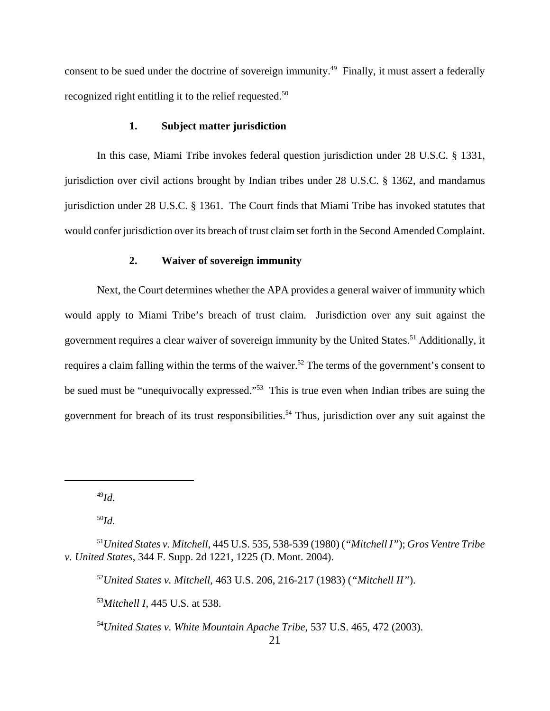consent to be sued under the doctrine of sovereign immunity.<sup>49</sup> Finally, it must assert a federally recognized right entitling it to the relief requested.<sup>50</sup>

# **1. Subject matter jurisdiction**

In this case, Miami Tribe invokes federal question jurisdiction under 28 U.S.C. § 1331, jurisdiction over civil actions brought by Indian tribes under 28 U.S.C. § 1362, and mandamus jurisdiction under 28 U.S.C. § 1361. The Court finds that Miami Tribe has invoked statutes that would confer jurisdiction over its breach of trust claim set forth in the Second Amended Complaint.

### **2. Waiver of sovereign immunity**

Next, the Court determines whether the APA provides a general waiver of immunity which would apply to Miami Tribe's breach of trust claim. Jurisdiction over any suit against the government requires a clear waiver of sovereign immunity by the United States.<sup>51</sup> Additionally, it requires a claim falling within the terms of the waiver.<sup>52</sup> The terms of the government's consent to be sued must be "unequivocally expressed."53 This is true even when Indian tribes are suing the government for breach of its trust responsibilities.<sup>54</sup> Thus, jurisdiction over any suit against the

<sup>49</sup>*Id.*

<sup>50</sup>*Id.*

<sup>52</sup>*United States v. Mitchell*, 463 U.S. 206, 216-217 (1983) (*"Mitchell II"*).

<sup>53</sup>*Mitchell I*, 445 U.S. at 538.

<sup>54</sup>*United States v. White Mountain Apache Tribe*, 537 U.S. 465, 472 (2003).

<sup>51</sup>*United States v. Mitchell*, 445 U.S. 535, 538-539 (1980) (*"Mitchell I"*); *Gros Ventre Tribe v. United States*, 344 F. Supp. 2d 1221, 1225 (D. Mont. 2004).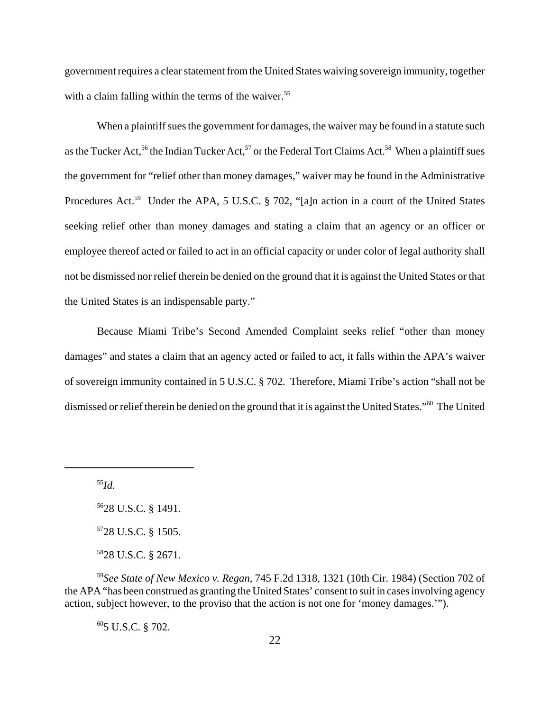government requires a clear statement from the United States waiving sovereign immunity, together with a claim falling within the terms of the waiver.<sup>55</sup>

When a plaintiff sues the government for damages, the waiver may be found in a statute such as the Tucker Act,<sup>56</sup> the Indian Tucker Act,<sup>57</sup> or the Federal Tort Claims Act.<sup>58</sup> When a plaintiff sues the government for "relief other than money damages," waiver may be found in the Administrative Procedures Act.<sup>59</sup> Under the APA, 5 U.S.C. § 702, "[a]n action in a court of the United States seeking relief other than money damages and stating a claim that an agency or an officer or employee thereof acted or failed to act in an official capacity or under color of legal authority shall not be dismissed nor relief therein be denied on the ground that it is against the United States or that the United States is an indispensable party."

Because Miami Tribe's Second Amended Complaint seeks relief "other than money damages" and states a claim that an agency acted or failed to act, it falls within the APA's waiver of sovereign immunity contained in 5 U.S.C. § 702. Therefore, Miami Tribe's action "shall not be dismissed or relief therein be denied on the ground that it is against the United States."60 The United

<sup>55</sup>*Id.*

5628 U.S.C. § 1491. 5728 U.S.C. § 1505. 5828 U.S.C. § 2671.

<sup>59</sup>*See State of New Mexico v. Regan*, 745 F.2d 1318, 1321 (10th Cir. 1984) (Section 702 of the APA "has been construed as granting the United States' consent to suit in cases involving agency action, subject however, to the proviso that the action is not one for 'money damages.'").

 $605$  U.S.C. § 702.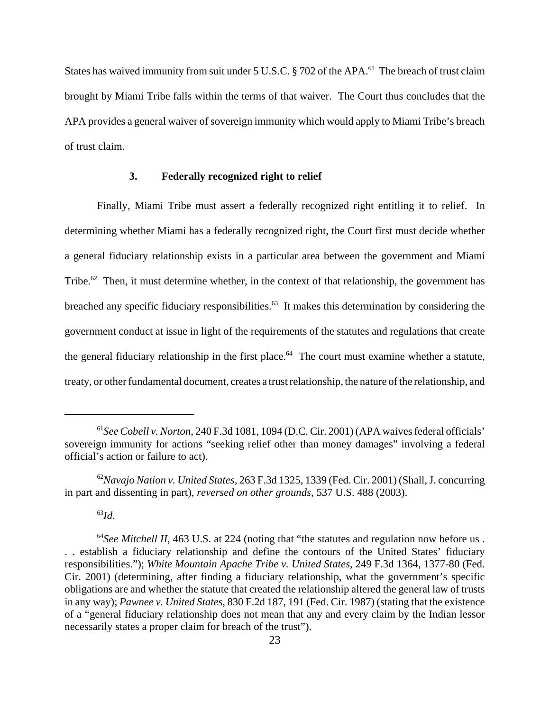States has waived immunity from suit under 5 U.S.C.  $\S$  702 of the APA.<sup>61</sup> The breach of trust claim brought by Miami Tribe falls within the terms of that waiver. The Court thus concludes that the APA provides a general waiver of sovereign immunity which would apply to Miami Tribe's breach of trust claim.

#### **3. Federally recognized right to relief**

Finally, Miami Tribe must assert a federally recognized right entitling it to relief. In determining whether Miami has a federally recognized right, the Court first must decide whether a general fiduciary relationship exists in a particular area between the government and Miami Tribe.<sup>62</sup> Then, it must determine whether, in the context of that relationship, the government has breached any specific fiduciary responsibilities. $63$  It makes this determination by considering the government conduct at issue in light of the requirements of the statutes and regulations that create the general fiduciary relationship in the first place.<sup>64</sup> The court must examine whether a statute, treaty, or other fundamental document, creates a trust relationship, the nature of the relationship, and

<sup>63</sup>*Id.*

<sup>61</sup>*See Cobell v. Norton*, 240 F.3d 1081, 1094 (D.C. Cir. 2001) (APA waives federal officials' sovereign immunity for actions "seeking relief other than money damages" involving a federal official's action or failure to act).

<sup>62</sup>*Navajo Nation v. United States,* 263 F.3d 1325, 1339 (Fed. Cir. 2001) (Shall, J. concurring in part and dissenting in part), *reversed on other grounds*, 537 U.S. 488 (2003).

<sup>&</sup>lt;sup>64</sup>See Mitchell II, 463 U.S. at 224 (noting that "the statutes and regulation now before us. . . establish a fiduciary relationship and define the contours of the United States' fiduciary responsibilities."); *White Mountain Apache Tribe v. United States*, 249 F.3d 1364, 1377-80 (Fed. Cir. 2001) (determining, after finding a fiduciary relationship, what the government's specific obligations are and whether the statute that created the relationship altered the general law of trusts in any way); *Pawnee v. United States*, 830 F.2d 187, 191 (Fed. Cir. 1987) (stating that the existence of a "general fiduciary relationship does not mean that any and every claim by the Indian lessor necessarily states a proper claim for breach of the trust").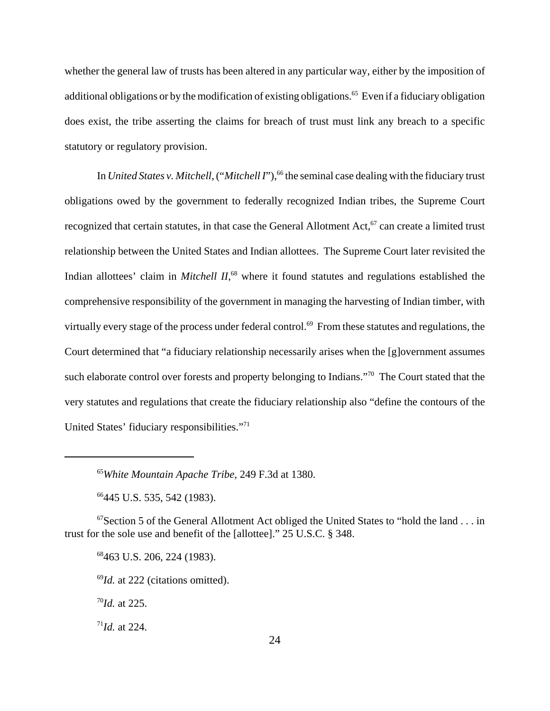whether the general law of trusts has been altered in any particular way, either by the imposition of additional obligations or by the modification of existing obligations.<sup>65</sup> Even if a fiduciary obligation does exist, the tribe asserting the claims for breach of trust must link any breach to a specific statutory or regulatory provision.

In *United States v. Mitchell*, ("*Mitchell I*"),<sup>66</sup> the seminal case dealing with the fiduciary trust obligations owed by the government to federally recognized Indian tribes, the Supreme Court recognized that certain statutes, in that case the General Allotment Act,<sup>67</sup> can create a limited trust relationship between the United States and Indian allottees. The Supreme Court later revisited the Indian allottees' claim in *Mitchell II*, 68 where it found statutes and regulations established the comprehensive responsibility of the government in managing the harvesting of Indian timber, with virtually every stage of the process under federal control.<sup>69</sup> From these statutes and regulations, the Court determined that "a fiduciary relationship necessarily arises when the [g]overnment assumes such elaborate control over forests and property belonging to Indians."<sup>70</sup> The Court stated that the very statutes and regulations that create the fiduciary relationship also "define the contours of the United States' fiduciary responsibilities."71

66445 U.S. 535, 542 (1983).

 $67$ Section 5 of the General Allotment Act obliged the United States to "hold the land . . . in trust for the sole use and benefit of the [allottee]." 25 U.S.C. § 348.

68463 U.S. 206, 224 (1983).

<sup>69</sup>*Id.* at 222 (citations omitted).

<sup>70</sup>*Id.* at 225.

 $171$ *Id.* at 224.

<sup>65</sup>*White Mountain Apache Tribe*, 249 F.3d at 1380.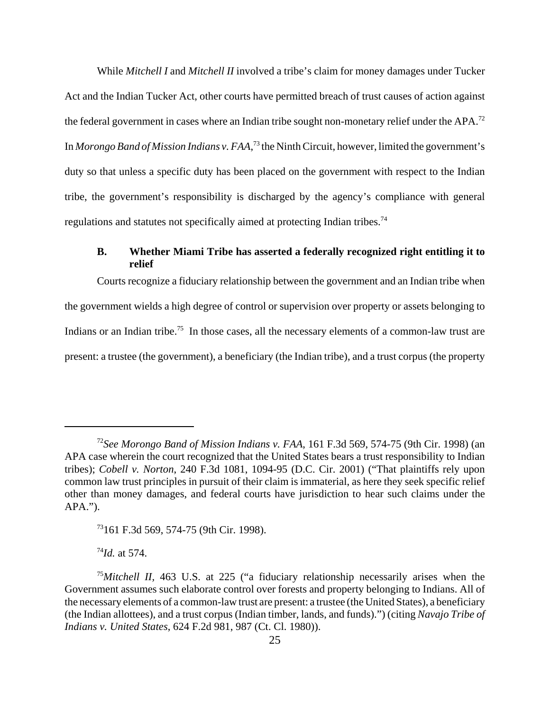While *Mitchell I* and *Mitchell II* involved a tribe's claim for money damages under Tucker Act and the Indian Tucker Act, other courts have permitted breach of trust causes of action against the federal government in cases where an Indian tribe sought non-monetary relief under the APA.<sup>72</sup> In *Morongo Band of Mission Indians v. FAA*, 73 the Ninth Circuit, however, limited the government's duty so that unless a specific duty has been placed on the government with respect to the Indian tribe, the government's responsibility is discharged by the agency's compliance with general regulations and statutes not specifically aimed at protecting Indian tribes.74

# **B. Whether Miami Tribe has asserted a federally recognized right entitling it to relief**

Courts recognize a fiduciary relationship between the government and an Indian tribe when the government wields a high degree of control or supervision over property or assets belonging to Indians or an Indian tribe.<sup>75</sup> In those cases, all the necessary elements of a common-law trust are present: a trustee (the government), a beneficiary (the Indian tribe), and a trust corpus (the property

 $^{74}$ *Id.* at 574.

<sup>72</sup>*See Morongo Band of Mission Indians v. FAA*, 161 F.3d 569, 574-75 (9th Cir. 1998) (an APA case wherein the court recognized that the United States bears a trust responsibility to Indian tribes); *Cobell v. Norton*, 240 F.3d 1081, 1094-95 (D.C. Cir. 2001) ("That plaintiffs rely upon common law trust principles in pursuit of their claim is immaterial, as here they seek specific relief other than money damages, and federal courts have jurisdiction to hear such claims under the APA.").

<sup>73161</sup> F.3d 569, 574-75 (9th Cir. 1998).

<sup>&</sup>lt;sup>75</sup>Mitchell II, 463 U.S. at 225 ("a fiduciary relationship necessarily arises when the Government assumes such elaborate control over forests and property belonging to Indians. All of the necessary elements of a common-law trust are present: a trustee (the United States), a beneficiary (the Indian allottees), and a trust corpus (Indian timber, lands, and funds).") (citing *Navajo Tribe of Indians v. United States*, 624 F.2d 981, 987 (Ct. Cl. 1980)).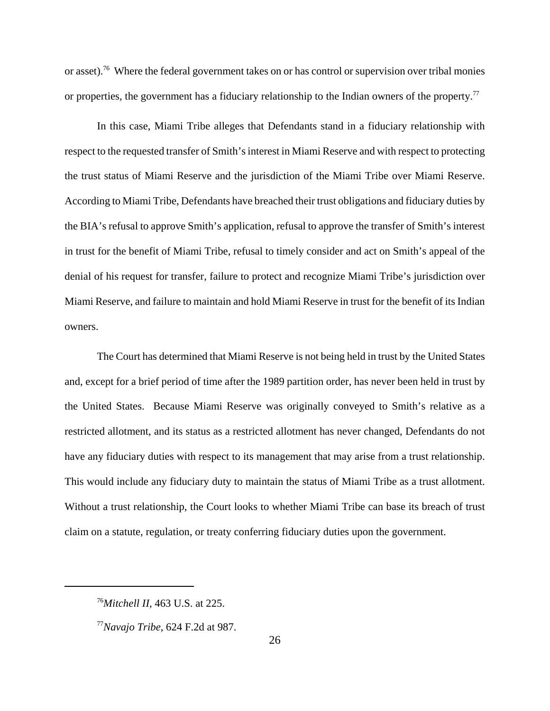or asset).<sup>76</sup> Where the federal government takes on or has control or supervision over tribal monies or properties, the government has a fiduciary relationship to the Indian owners of the property.<sup>77</sup>

In this case, Miami Tribe alleges that Defendants stand in a fiduciary relationship with respect to the requested transfer of Smith's interest in Miami Reserve and with respect to protecting the trust status of Miami Reserve and the jurisdiction of the Miami Tribe over Miami Reserve. According to Miami Tribe, Defendants have breached their trust obligations and fiduciary duties by the BIA's refusal to approve Smith's application, refusal to approve the transfer of Smith's interest in trust for the benefit of Miami Tribe, refusal to timely consider and act on Smith's appeal of the denial of his request for transfer, failure to protect and recognize Miami Tribe's jurisdiction over Miami Reserve, and failure to maintain and hold Miami Reserve in trust for the benefit of its Indian owners.

The Court has determined that Miami Reserve is not being held in trust by the United States and, except for a brief period of time after the 1989 partition order, has never been held in trust by the United States. Because Miami Reserve was originally conveyed to Smith's relative as a restricted allotment, and its status as a restricted allotment has never changed, Defendants do not have any fiduciary duties with respect to its management that may arise from a trust relationship. This would include any fiduciary duty to maintain the status of Miami Tribe as a trust allotment. Without a trust relationship, the Court looks to whether Miami Tribe can base its breach of trust claim on a statute, regulation, or treaty conferring fiduciary duties upon the government.

<sup>76</sup>*Mitchell II,* 463 U.S. at 225.

<sup>77</sup>*Navajo Tribe*, 624 F.2d at 987.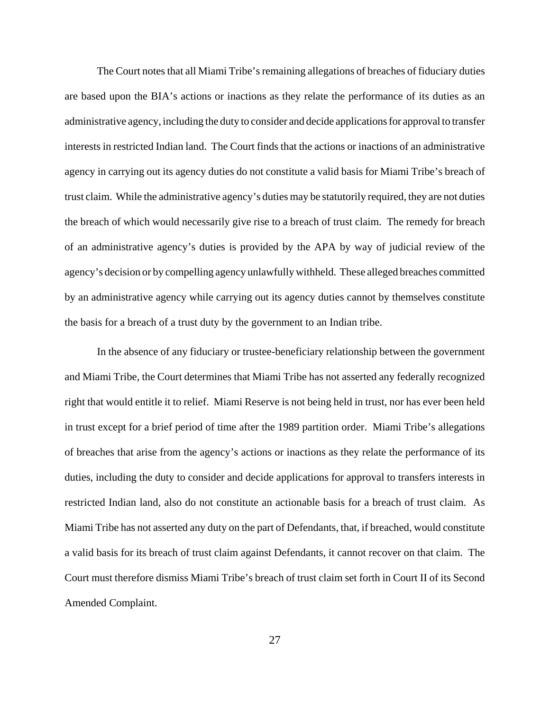The Court notes that all Miami Tribe's remaining allegations of breaches of fiduciary duties are based upon the BIA's actions or inactions as they relate the performance of its duties as an administrative agency, including the duty to consider and decide applications for approval to transfer interests in restricted Indian land. The Court finds that the actions or inactions of an administrative agency in carrying out its agency duties do not constitute a valid basis for Miami Tribe's breach of trust claim. While the administrative agency's duties may be statutorily required, they are not duties the breach of which would necessarily give rise to a breach of trust claim. The remedy for breach of an administrative agency's duties is provided by the APA by way of judicial review of the agency's decision or by compelling agency unlawfully withheld. These alleged breaches committed by an administrative agency while carrying out its agency duties cannot by themselves constitute the basis for a breach of a trust duty by the government to an Indian tribe.

In the absence of any fiduciary or trustee-beneficiary relationship between the government and Miami Tribe, the Court determines that Miami Tribe has not asserted any federally recognized right that would entitle it to relief. Miami Reserve is not being held in trust, nor has ever been held in trust except for a brief period of time after the 1989 partition order. Miami Tribe's allegations of breaches that arise from the agency's actions or inactions as they relate the performance of its duties, including the duty to consider and decide applications for approval to transfers interests in restricted Indian land, also do not constitute an actionable basis for a breach of trust claim. As Miami Tribe has not asserted any duty on the part of Defendants, that, if breached, would constitute a valid basis for its breach of trust claim against Defendants, it cannot recover on that claim. The Court must therefore dismiss Miami Tribe's breach of trust claim set forth in Court II of its Second Amended Complaint.